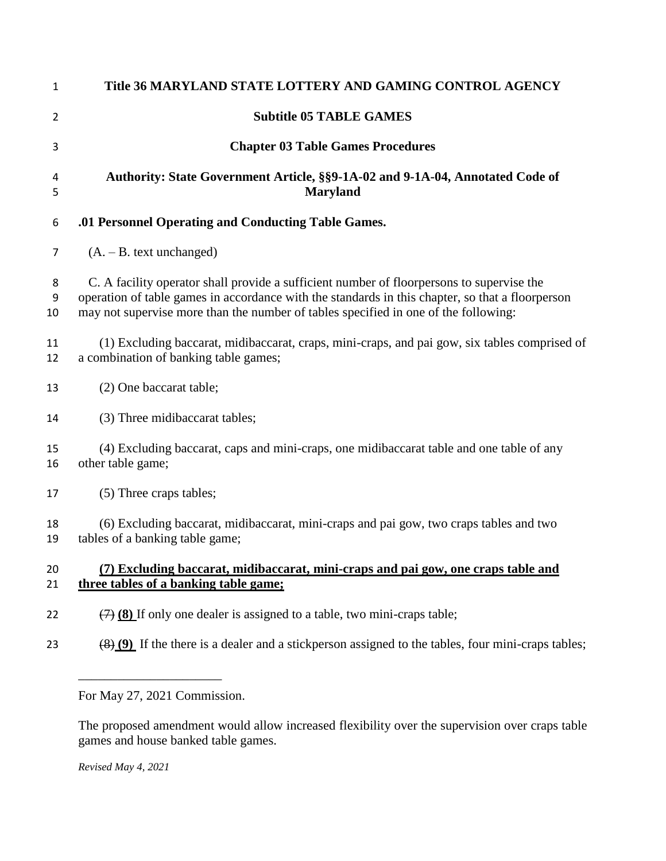| 1            | Title 36 MARYLAND STATE LOTTERY AND GAMING CONTROL AGENCY                                                                                                                                                                                                                            |
|--------------|--------------------------------------------------------------------------------------------------------------------------------------------------------------------------------------------------------------------------------------------------------------------------------------|
| 2            | <b>Subtitle 05 TABLE GAMES</b>                                                                                                                                                                                                                                                       |
| 3            | <b>Chapter 03 Table Games Procedures</b>                                                                                                                                                                                                                                             |
| 4<br>5       | Authority: State Government Article, §§9-1A-02 and 9-1A-04, Annotated Code of<br><b>Maryland</b>                                                                                                                                                                                     |
| 6            | .01 Personnel Operating and Conducting Table Games.                                                                                                                                                                                                                                  |
| 7            | $(A. - B. text unchanged)$                                                                                                                                                                                                                                                           |
| 8<br>9<br>10 | C. A facility operator shall provide a sufficient number of floorpersons to supervise the<br>operation of table games in accordance with the standards in this chapter, so that a floorperson<br>may not supervise more than the number of tables specified in one of the following: |
| 11<br>12     | (1) Excluding baccarat, midibaccarat, craps, mini-craps, and pai gow, six tables comprised of<br>a combination of banking table games;                                                                                                                                               |
| 13           | (2) One baccarat table;                                                                                                                                                                                                                                                              |
| 14           | (3) Three midibaccarat tables;                                                                                                                                                                                                                                                       |
| 15<br>16     | (4) Excluding baccarat, caps and mini-craps, one midibaccarat table and one table of any<br>other table game;                                                                                                                                                                        |
| 17           | (5) Three craps tables;                                                                                                                                                                                                                                                              |
| 18<br>19     | (6) Excluding baccarat, midibaccarat, mini-craps and pai gow, two craps tables and two<br>tables of a banking table game;                                                                                                                                                            |
| 20<br>21     | (7) Excluding baccarat, midibaccarat, mini-craps and pai gow, one craps table and<br>three tables of a banking table game;                                                                                                                                                           |
| 22           | $\left(\frac{7}{2}\right)$ (8) If only one dealer is assigned to a table, two mini-craps table;                                                                                                                                                                                      |
| 23           | $\frac{(8)(9)}{(9)}$ If the there is a dealer and a stickperson assigned to the tables, four mini-craps tables;                                                                                                                                                                      |
|              |                                                                                                                                                                                                                                                                                      |

For May 27, 2021 Commission.

The proposed amendment would allow increased flexibility over the supervision over craps table games and house banked table games.

*Revised May 4, 2021*